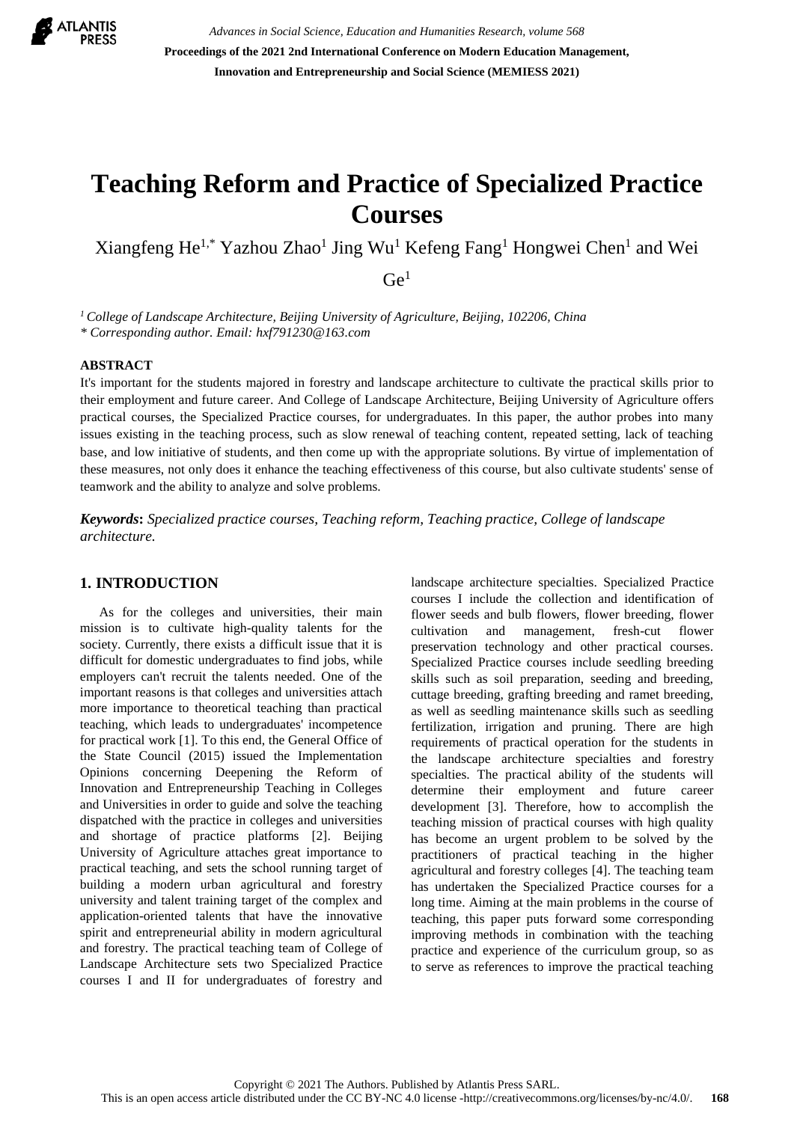

*Advances in Social Science, Education and Humanities Research, volume 568* **Proceedings of the 2021 2nd International Conference on Modern Education Management, Innovation and Entrepreneurship and Social Science (MEMIESS 2021)**

# **Teaching Reform and Practice of Specialized Practice Courses**

Xiangfeng He<sup>1,\*</sup> Yazhou Zhao<sup>1</sup> Jing Wu<sup>1</sup> Kefeng Fang<sup>1</sup> Hongwei Chen<sup>1</sup> and Wei

 $Ge<sup>1</sup>$ 

*<sup>1</sup> College of Landscape Architecture, Beijing University of Agriculture, Beijing, 102206, China \* Corresponding author. Email: hxf791230@163.com*

#### **ABSTRACT**

It's important for the students majored in forestry and landscape architecture to cultivate the practical skills prior to their employment and future career. And College of Landscape Architecture, Beijing University of Agriculture offers practical courses, the Specialized Practice courses, for undergraduates. In this paper, the author probes into many issues existing in the teaching process, such as slow renewal of teaching content, repeated setting, lack of teaching base, and low initiative of students, and then come up with the appropriate solutions. By virtue of implementation of these measures, not only does it enhance the teaching effectiveness of this course, but also cultivate students' sense of teamwork and the ability to analyze and solve problems.

*Keywords***:** *Specialized practice courses, Teaching reform, Teaching practice, College of landscape architecture.*

#### **1. INTRODUCTION**

As for the colleges and universities, their main mission is to cultivate high-quality talents for the society. Currently, there exists a difficult issue that it is difficult for domestic undergraduates to find jobs, while employers can't recruit the talents needed. One of the important reasons is that colleges and universities attach more importance to theoretical teaching than practical teaching, which leads to undergraduates' incompetence for practical work [1]. To this end, the General Office of the State Council (2015) issued the Implementation Opinions concerning Deepening the Reform of Innovation and Entrepreneurship Teaching in Colleges and Universities in order to guide and solve the teaching dispatched with the practice in colleges and universities and shortage of practice platforms [2]. Beijing University of Agriculture attaches great importance to practical teaching, and sets the school running target of building a modern urban agricultural and forestry university and talent training target of the complex and application-oriented talents that have the innovative spirit and entrepreneurial ability in modern agricultural and forestry. The practical teaching team of College of Landscape Architecture sets two Specialized Practice courses I and II for undergraduates of forestry and landscape architecture specialties. Specialized Practice courses I include the collection and identification of flower seeds and bulb flowers, flower breeding, flower cultivation and management, fresh-cut flower preservation technology and other practical courses. Specialized Practice courses include seedling breeding skills such as soil preparation, seeding and breeding, cuttage breeding, grafting breeding and ramet breeding, as well as seedling maintenance skills such as seedling fertilization, irrigation and pruning. There are high requirements of practical operation for the students in the landscape architecture specialties and forestry specialties. The practical ability of the students will determine their employment and future career development [3]. Therefore, how to accomplish the teaching mission of practical courses with high quality has become an urgent problem to be solved by the practitioners of practical teaching in the higher agricultural and forestry colleges [4]. The teaching team has undertaken the Specialized Practice courses for a long time. Aiming at the main problems in the course of teaching, this paper puts forward some corresponding improving methods in combination with the teaching practice and experience of the curriculum group, so as to serve as references to improve the practical teaching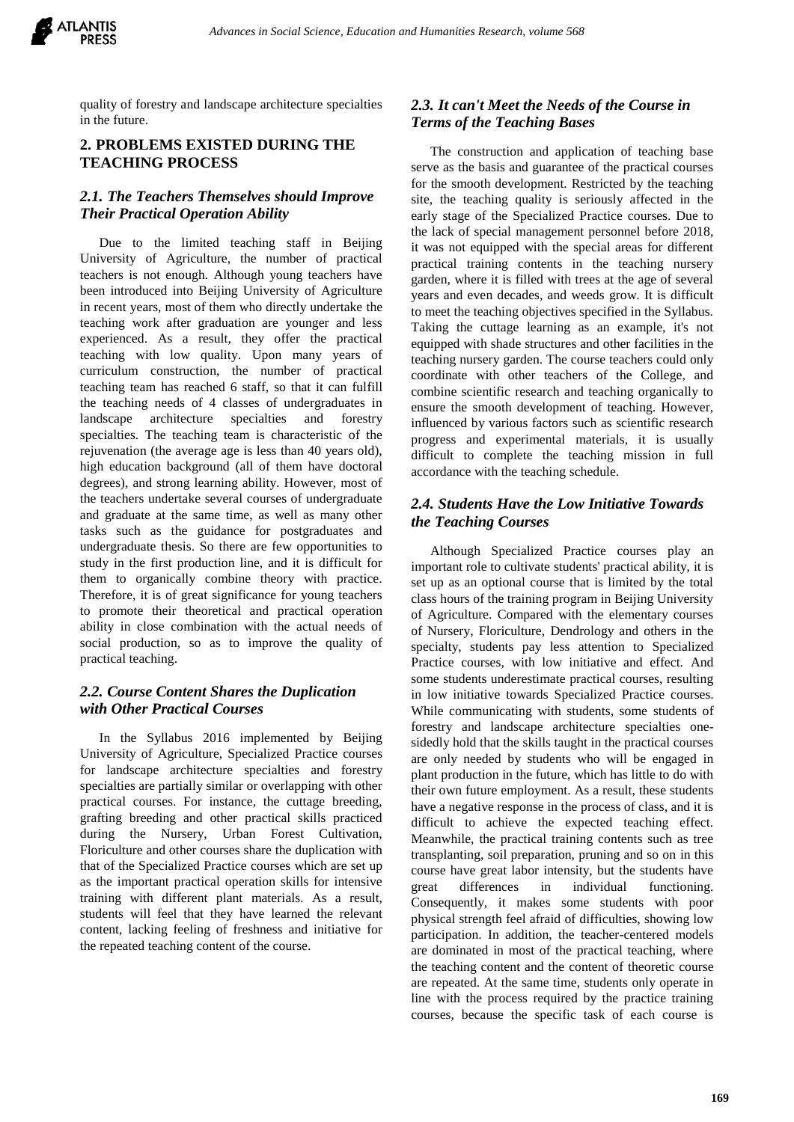

quality of forestry and landscape architecture specialties in the future.

## **2. PROBLEMS EXISTED DURING THE TEACHING PROCESS**

## *2.1. The Teachers Themselves should Improve Their Practical Operation Ability*

Due to the limited teaching staff in Beijing University of Agriculture, the number of practical teachers is not enough. Although young teachers have been introduced into Beijing University of Agriculture in recent years, most of them who directly undertake the teaching work after graduation are younger and less experienced. As a result, they offer the practical teaching with low quality. Upon many years of curriculum construction, the number of practical teaching team has reached 6 staff, so that it can fulfill the teaching needs of 4 classes of undergraduates in landscape architecture specialties and forestry specialties. The teaching team is characteristic of the rejuvenation (the average age is less than 40 years old), high education background (all of them have doctoral degrees), and strong learning ability. However, most of the teachers undertake several courses of undergraduate and graduate at the same time, as well as many other tasks such as the guidance for postgraduates and undergraduate thesis. So there are few opportunities to study in the first production line, and it is difficult for them to organically combine theory with practice. Therefore, it is of great significance for young teachers to promote their theoretical and practical operation ability in close combination with the actual needs of social production, so as to improve the quality of practical teaching.

# *2.2. Course Content Shares the Duplication with Other Practical Courses*

In the Syllabus 2016 implemented by Beijing University of Agriculture, Specialized Practice courses for landscape architecture specialties and forestry specialties are partially similar or overlapping with other practical courses. For instance, the cuttage breeding, grafting breeding and other practical skills practiced during the Nursery, Urban Forest Cultivation, Floriculture and other courses share the duplication with that of the Specialized Practice courses which are set up as the important practical operation skills for intensive training with different plant materials. As a result, students will feel that they have learned the relevant content, lacking feeling of freshness and initiative for the repeated teaching content of the course.

# *2.3. It can't Meet the Needs of the Course in Terms of the Teaching Bases*

The construction and application of teaching base serve as the basis and guarantee of the practical courses for the smooth development. Restricted by the teaching site, the teaching quality is seriously affected in the early stage of the Specialized Practice courses. Due to the lack of special management personnel before 2018, it was not equipped with the special areas for different practical training contents in the teaching nursery garden, where it is filled with trees at the age of several years and even decades, and weeds grow. It is difficult to meet the teaching objectives specified in the Syllabus. Taking the cuttage learning as an example, it's not equipped with shade structures and other facilities in the teaching nursery garden. The course teachers could only coordinate with other teachers of the College, and combine scientific research and teaching organically to ensure the smooth development of teaching. However, influenced by various factors such as scientific research progress and experimental materials, it is usually difficult to complete the teaching mission in full accordance with the teaching schedule.

# *2.4. Students Have the Low Initiative Towards the Teaching Courses*

Although Specialized Practice courses play an important role to cultivate students' practical ability, it is set up as an optional course that is limited by the total class hours of the training program in Beijing University of Agriculture. Compared with the elementary courses of Nursery, Floriculture, Dendrology and others in the specialty, students pay less attention to Specialized Practice courses, with low initiative and effect. And some students underestimate practical courses, resulting in low initiative towards Specialized Practice courses. While communicating with students, some students of forestry and landscape architecture specialties onesidedly hold that the skills taught in the practical courses are only needed by students who will be engaged in plant production in the future, which has little to do with their own future employment. As a result, these students have a negative response in the process of class, and it is difficult to achieve the expected teaching effect. Meanwhile, the practical training contents such as tree transplanting, soil preparation, pruning and so on in this course have great labor intensity, but the students have great differences in individual functioning. Consequently, it makes some students with poor physical strength feel afraid of difficulties, showing low participation. In addition, the teacher-centered models are dominated in most of the practical teaching, where the teaching content and the content of theoretic course are repeated. At the same time, students only operate in line with the process required by the practice training courses, because the specific task of each course is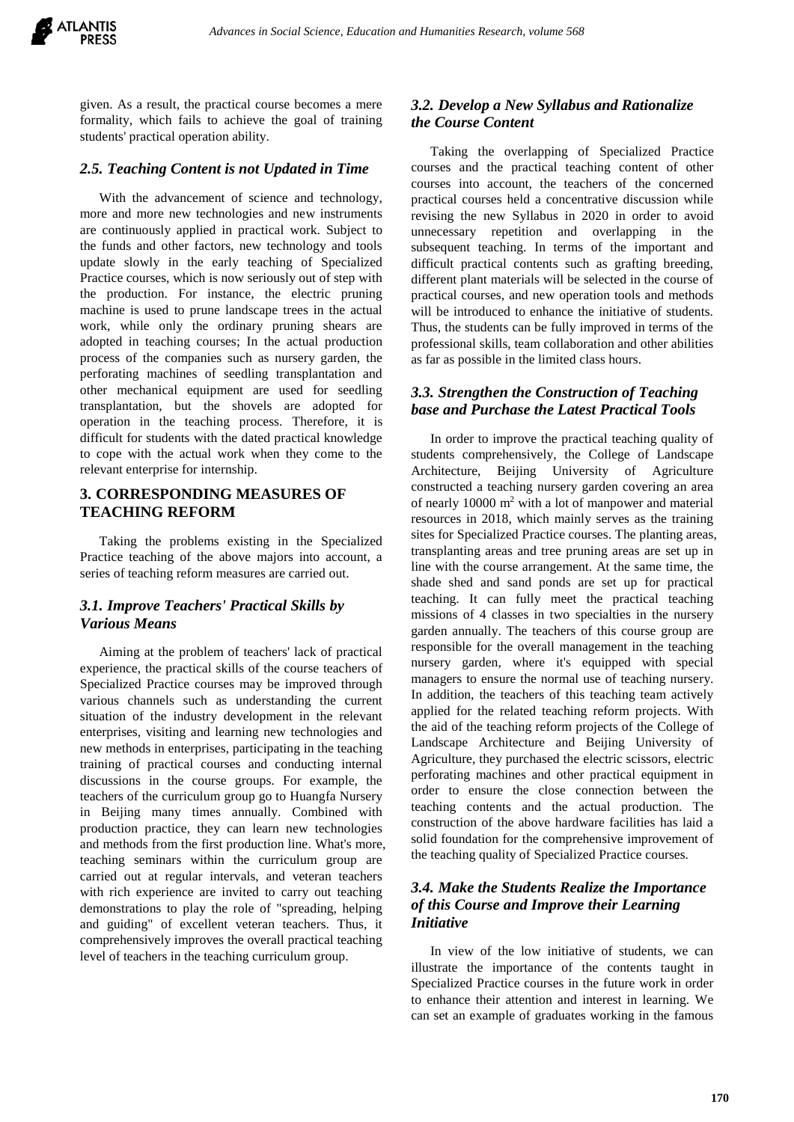given. As a result, the practical course becomes a mere formality, which fails to achieve the goal of training students' practical operation ability.

#### *2.5. Teaching Content is not Updated in Time*

With the advancement of science and technology, more and more new technologies and new instruments are continuously applied in practical work. Subject to the funds and other factors, new technology and tools update slowly in the early teaching of Specialized Practice courses, which is now seriously out of step with the production. For instance, the electric pruning machine is used to prune landscape trees in the actual work, while only the ordinary pruning shears are adopted in teaching courses; In the actual production process of the companies such as nursery garden, the perforating machines of seedling transplantation and other mechanical equipment are used for seedling transplantation, but the shovels are adopted for operation in the teaching process. Therefore, it is difficult for students with the dated practical knowledge to cope with the actual work when they come to the relevant enterprise for internship.

## **3. CORRESPONDING MEASURES OF TEACHING REFORM**

Taking the problems existing in the Specialized Practice teaching of the above majors into account, a series of teaching reform measures are carried out.

#### *3.1. Improve Teachers' Practical Skills by Various Means*

Aiming at the problem of teachers' lack of practical experience, the practical skills of the course teachers of Specialized Practice courses may be improved through various channels such as understanding the current situation of the industry development in the relevant enterprises, visiting and learning new technologies and new methods in enterprises, participating in the teaching training of practical courses and conducting internal discussions in the course groups. For example, the teachers of the curriculum group go to Huangfa Nursery in Beijing many times annually. Combined with production practice, they can learn new technologies and methods from the first production line. What's more, teaching seminars within the curriculum group are carried out at regular intervals, and veteran teachers with rich experience are invited to carry out teaching demonstrations to play the role of "spreading, helping and guiding" of excellent veteran teachers. Thus, it comprehensively improves the overall practical teaching level of teachers in the teaching curriculum group.

# *3.2. Develop a New Syllabus and Rationalize the Course Content*

Taking the overlapping of Specialized Practice courses and the practical teaching content of other courses into account, the teachers of the concerned practical courses held a concentrative discussion while revising the new Syllabus in 2020 in order to avoid unnecessary repetition and overlapping in the subsequent teaching. In terms of the important and difficult practical contents such as grafting breeding, different plant materials will be selected in the course of practical courses, and new operation tools and methods will be introduced to enhance the initiative of students. Thus, the students can be fully improved in terms of the professional skills, team collaboration and other abilities as far as possible in the limited class hours.

#### *3.3. Strengthen the Construction of Teaching base and Purchase the Latest Practical Tools*

In order to improve the practical teaching quality of students comprehensively, the College of Landscape Architecture, Beijing University of Agriculture constructed a teaching nursery garden covering an area of nearly 10000 m<sup>2</sup> with a lot of manpower and material resources in 2018, which mainly serves as the training sites for Specialized Practice courses. The planting areas, transplanting areas and tree pruning areas are set up in line with the course arrangement. At the same time, the shade shed and sand ponds are set up for practical teaching. It can fully meet the practical teaching missions of 4 classes in two specialties in the nursery garden annually. The teachers of this course group are responsible for the overall management in the teaching nursery garden, where it's equipped with special managers to ensure the normal use of teaching nursery. In addition, the teachers of this teaching team actively applied for the related teaching reform projects. With the aid of the teaching reform projects of the College of Landscape Architecture and Beijing University of Agriculture, they purchased the electric scissors, electric perforating machines and other practical equipment in order to ensure the close connection between the teaching contents and the actual production. The construction of the above hardware facilities has laid a solid foundation for the comprehensive improvement of the teaching quality of Specialized Practice courses.

## *3.4. Make the Students Realize the Importance of this Course and Improve their Learning Initiative*

In view of the low initiative of students, we can illustrate the importance of the contents taught in Specialized Practice courses in the future work in order to enhance their attention and interest in learning. We can set an example of graduates working in the famous